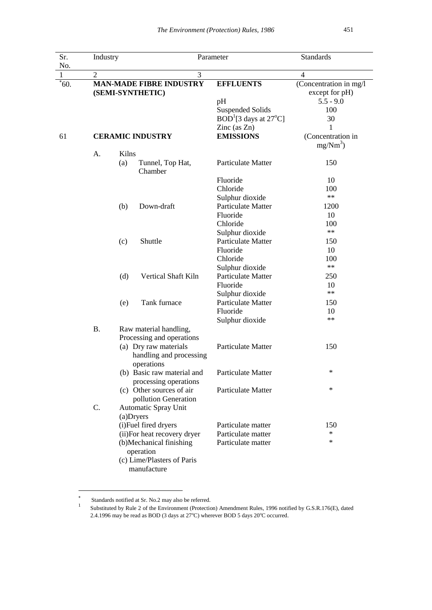| Sr.      | Industry<br>3<br>2<br><b>MAN-MADE FIBRE INDUSTRY</b><br>(SEMI-SYNTHETIC) |                                                                                   |                                                                | Parameter                                                           |                                                         |
|----------|--------------------------------------------------------------------------|-----------------------------------------------------------------------------------|----------------------------------------------------------------|---------------------------------------------------------------------|---------------------------------------------------------|
| No.<br>1 |                                                                          |                                                                                   |                                                                |                                                                     | 4                                                       |
| $*60.$   |                                                                          |                                                                                   |                                                                | <b>EFFLUENTS</b><br>pH                                              | (Concentration in mg/l<br>except for pH)<br>$5.5 - 9.0$ |
|          |                                                                          |                                                                                   |                                                                | <b>Suspended Solids</b><br>$BOD1[3 days at 27oC]$<br>Zinc $(as Zn)$ | 100<br>30<br>1                                          |
| 61       | <b>CERAMIC INDUSTRY</b>                                                  |                                                                                   |                                                                | <b>EMISSIONS</b>                                                    | (Concentration in<br>$mg/Nm^3$ )                        |
|          | A.                                                                       | Kilns                                                                             |                                                                |                                                                     |                                                         |
|          |                                                                          | (a)                                                                               | Tunnel, Top Hat,<br>Chamber                                    | <b>Particulate Matter</b>                                           | 150                                                     |
|          |                                                                          |                                                                                   |                                                                | Fluoride                                                            | 10                                                      |
|          |                                                                          |                                                                                   |                                                                | Chloride                                                            | 100                                                     |
|          |                                                                          |                                                                                   |                                                                | Sulphur dioxide                                                     | $\ast\ast$                                              |
|          |                                                                          | (b)                                                                               | Down-draft                                                     | Particulate Matter                                                  | 1200                                                    |
|          |                                                                          |                                                                                   |                                                                | Fluoride                                                            | 10                                                      |
|          |                                                                          |                                                                                   |                                                                | Chloride                                                            | 100                                                     |
|          |                                                                          |                                                                                   |                                                                | Sulphur dioxide                                                     | $***$                                                   |
|          |                                                                          | (c)                                                                               | Shuttle                                                        | Particulate Matter                                                  | 150                                                     |
|          |                                                                          |                                                                                   |                                                                | Fluoride                                                            | 10                                                      |
|          |                                                                          |                                                                                   |                                                                | Chloride                                                            | 100                                                     |
|          |                                                                          |                                                                                   |                                                                | Sulphur dioxide                                                     | $***$                                                   |
|          |                                                                          | (d)                                                                               | Vertical Shaft Kiln                                            | <b>Particulate Matter</b>                                           | 250                                                     |
|          |                                                                          |                                                                                   |                                                                | Fluoride                                                            | 10                                                      |
|          |                                                                          |                                                                                   |                                                                | Sulphur dioxide                                                     | $\ast\ast$                                              |
|          |                                                                          | (e)                                                                               | Tank furnace                                                   | Particulate Matter                                                  | 150                                                     |
|          |                                                                          |                                                                                   |                                                                | Fluoride                                                            | 10                                                      |
|          |                                                                          |                                                                                   |                                                                | Sulphur dioxide                                                     | $\ast\ast$                                              |
|          | <b>B.</b>                                                                | Raw material handling,                                                            |                                                                |                                                                     |                                                         |
|          |                                                                          | Processing and operations                                                         |                                                                |                                                                     |                                                         |
|          |                                                                          |                                                                                   | (a) Dry raw materials<br>handling and processing<br>operations | Particulate Matter                                                  | 150                                                     |
|          |                                                                          |                                                                                   | (b) Basic raw material and<br>processing operations            | Particulate Matter                                                  | $\ast$                                                  |
|          |                                                                          |                                                                                   | (c) Other sources of air<br>pollution Generation               | Particulate Matter                                                  | $\ast$                                                  |
|          | C.                                                                       | (a)Dryers                                                                         | Automatic Spray Unit                                           |                                                                     |                                                         |
|          |                                                                          |                                                                                   | (i)Fuel fired dryers                                           | Particulate matter                                                  | 150                                                     |
|          |                                                                          |                                                                                   | (ii) For heat recovery dryer                                   | Particulate matter                                                  | $\ast$                                                  |
|          |                                                                          | (b)Mechanical finishing<br>operation<br>(c) Lime/Plasters of Paris<br>manufacture |                                                                | Particulate matter                                                  | $\ast$                                                  |

 $\ast$ Standards notified at Sr. No.2 may also be referred. 1

1

Substituted by Rule 2 of the Environment (Protection) Amendment Rules, 1996 notified by G.S.R.176(E), dated 2.4.1996 may be read as BOD (3 days at 27°C) wherever BOD 5 days 20°C occurred.